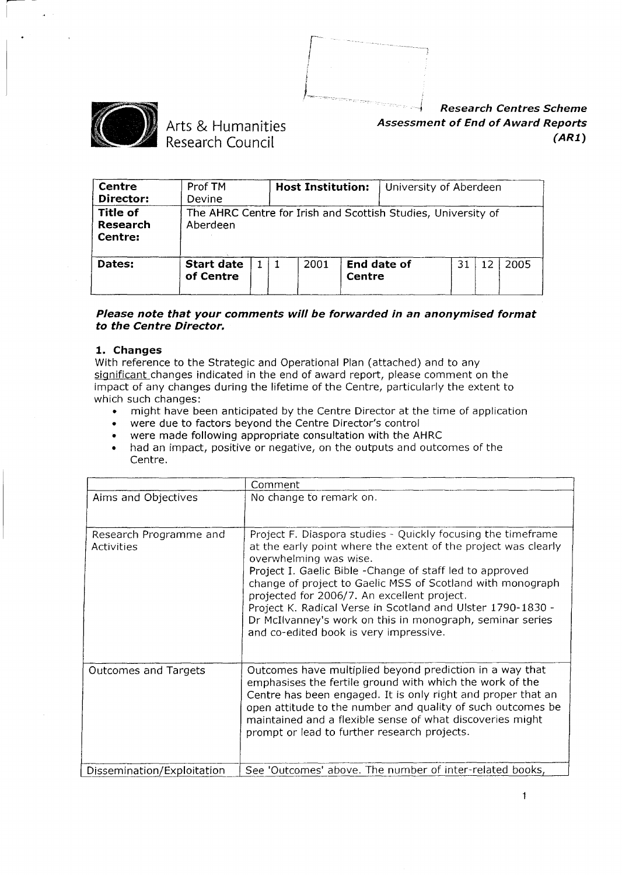



# Arts & Humanities Research Council

*Research Centres Scheme Assessment of End of Award Reports (AR1)*

| Centre<br>Director:                    | Prof TM<br>Devine              |  | <b>Host Institution:</b> |                       | University of Aberdeen                                        |    |    |      |
|----------------------------------------|--------------------------------|--|--------------------------|-----------------------|---------------------------------------------------------------|----|----|------|
| <b>Title of</b><br>Research<br>Centre: | Aberdeen                       |  |                          |                       | The AHRC Centre for Irish and Scottish Studies, University of |    |    |      |
| Dates:                                 | <b>Start date</b><br>of Centre |  | 2001                     | End date of<br>Centre |                                                               | 31 | 12 | 2005 |

#### *Please note that your comments will be forwarded in an anonymised format to the Centre Director.*

#### 1. Changes

With reference to the Strategic and Operational Plan (attached) and to any significant changes indicated in the end of award report, please comment on the impact of any changes during the lifetime of the Centre, particularly the extent to which such changes: of such changes:<br>• might have been anticipated by the Centre Director at the time of application

- might have been anticipated by the Centre Director at t<br>• were due to factors beyond the Centre Director's control
- 
- . were made following appropriate consultation with the AHRC
- . had an impact, positive or negative, on the outputs and outcomes of the Centre.

|                                      | Comment                                                                                                                                                                                                                                                                                                                                                                                                                                                                                                  |
|--------------------------------------|----------------------------------------------------------------------------------------------------------------------------------------------------------------------------------------------------------------------------------------------------------------------------------------------------------------------------------------------------------------------------------------------------------------------------------------------------------------------------------------------------------|
| Aims and Objectives                  | No change to remark on.                                                                                                                                                                                                                                                                                                                                                                                                                                                                                  |
| Research Programme and<br>Activities | Project F. Diaspora studies - Quickly focusing the timeframe<br>at the early point where the extent of the project was clearly<br>overwhelming was wise.<br>Project I. Gaelic Bible - Change of staff led to approved<br>change of project to Gaelic MSS of Scotland with monograph<br>projected for 2006/7. An excellent project.<br>Project K. Radical Verse in Scotland and Ulster 1790-1830 -<br>Dr McIlvanney's work on this in monograph, seminar series<br>and co-edited book is very impressive. |
| Outcomes and Targets                 | Outcomes have multiplied beyond prediction in a way that<br>emphasises the fertile ground with which the work of the<br>Centre has been engaged. It is only right and proper that an<br>open attitude to the number and quality of such outcomes be<br>maintained and a flexible sense of what discoveries might<br>prompt or lead to further research projects.                                                                                                                                         |
| Dissemination/Exploitation           | See 'Outcomes' above. The number of inter-related books,                                                                                                                                                                                                                                                                                                                                                                                                                                                 |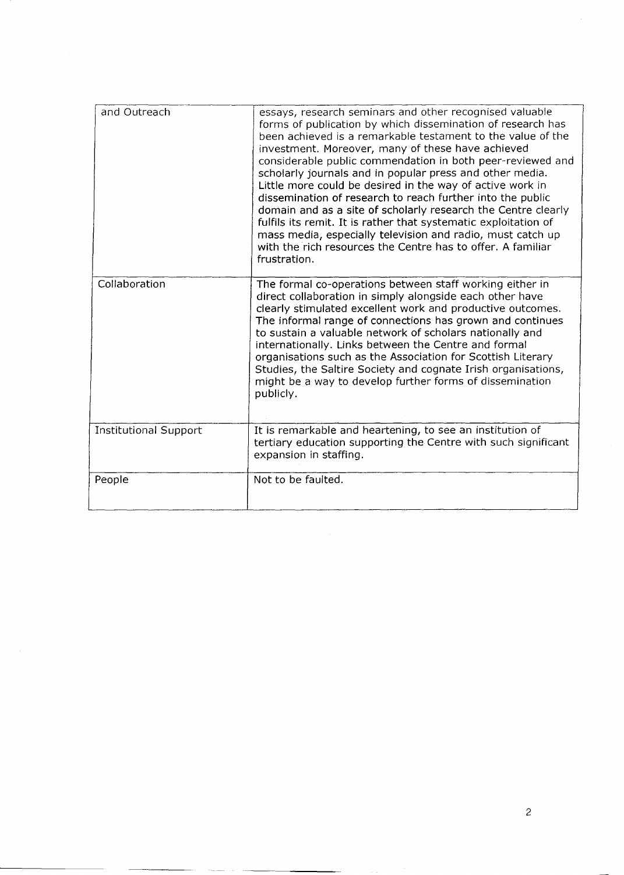| and Outreach                 | essays, research seminars and other recognised valuable<br>forms of publication by which dissemination of research has<br>been achieved is a remarkable testament to the value of the<br>investment. Moreover, many of these have achieved<br>considerable public commendation in both peer-reviewed and<br>scholarly journals and in popular press and other media.<br>Little more could be desired in the way of active work in<br>dissemination of research to reach further into the public<br>domain and as a site of scholarly research the Centre clearly<br>fulfils its remit. It is rather that systematic exploitation of<br>mass media, especially television and radio, must catch up<br>with the rich resources the Centre has to offer. A familiar<br>frustration. |
|------------------------------|----------------------------------------------------------------------------------------------------------------------------------------------------------------------------------------------------------------------------------------------------------------------------------------------------------------------------------------------------------------------------------------------------------------------------------------------------------------------------------------------------------------------------------------------------------------------------------------------------------------------------------------------------------------------------------------------------------------------------------------------------------------------------------|
| Collaboration                | The formal co-operations between staff working either in<br>direct collaboration in simply alongside each other have<br>clearly stimulated excellent work and productive outcomes.<br>The informal range of connections has grown and continues<br>to sustain a valuable network of scholars nationally and<br>internationally. Links between the Centre and formal<br>organisations such as the Association for Scottish Literary<br>Studies, the Saltire Society and cognate Irish organisations,<br>might be a way to develop further forms of dissemination<br>publicly.                                                                                                                                                                                                     |
| <b>Institutional Support</b> | It is remarkable and heartening, to see an institution of<br>tertiary education supporting the Centre with such significant<br>expansion in staffing.                                                                                                                                                                                                                                                                                                                                                                                                                                                                                                                                                                                                                            |
| People                       | Not to be faulted.                                                                                                                                                                                                                                                                                                                                                                                                                                                                                                                                                                                                                                                                                                                                                               |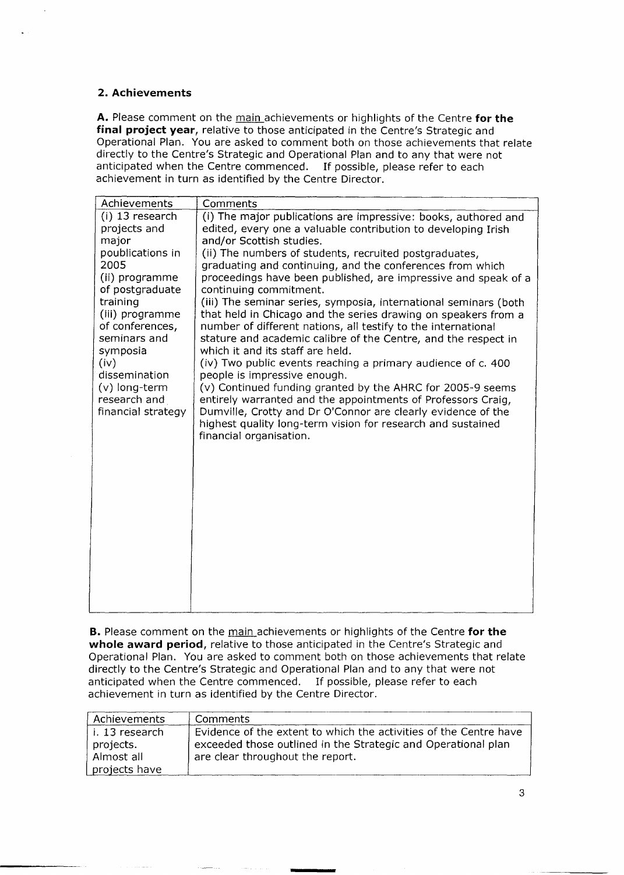#### **2. Achievements**

**A.** Please comment on the main achievements or highlights of the Centre **for the final project year,** relative to those anticipated in the Centre's Strategic and Operational Plan. You are asked to comment both on those achievements that relate directly to the Centre's Strategic and Operational Plan and to any that were not anticipated when the Centre commenced. If possible, please refer to each achievement in turn as identified by the Centre Director.

| Achievements                                                                                                                                                                                                                                                              | Comments                                                                                                                                                                                                                                                                                                                                                                                                                                                                                                                                                                                                                                                                                                                                                                                                                                                                                                                                                                                                                                                                            |
|---------------------------------------------------------------------------------------------------------------------------------------------------------------------------------------------------------------------------------------------------------------------------|-------------------------------------------------------------------------------------------------------------------------------------------------------------------------------------------------------------------------------------------------------------------------------------------------------------------------------------------------------------------------------------------------------------------------------------------------------------------------------------------------------------------------------------------------------------------------------------------------------------------------------------------------------------------------------------------------------------------------------------------------------------------------------------------------------------------------------------------------------------------------------------------------------------------------------------------------------------------------------------------------------------------------------------------------------------------------------------|
| (i) 13 research<br>projects and<br>major<br>poublications in<br>2005<br>(ii) programme<br>of postgraduate<br>training<br>(iii) programme<br>of conferences,<br>seminars and<br>symposia<br>(iv)<br>dissemination<br>$(v)$ long-term<br>research and<br>financial strategy | (i) The major publications are impressive: books, authored and<br>edited, every one a valuable contribution to developing Irish<br>and/or Scottish studies.<br>(ii) The numbers of students, recruited postgraduates,<br>graduating and continuing, and the conferences from which<br>proceedings have been published, are impressive and speak of a<br>continuing commitment.<br>(iii) The seminar series, symposia, international seminars (both<br>that held in Chicago and the series drawing on speakers from a<br>number of different nations, all testify to the international<br>stature and academic calibre of the Centre, and the respect in<br>which it and its staff are held.<br>(iv) Two public events reaching a primary audience of c. 400<br>people is impressive enough.<br>(v) Continued funding granted by the AHRC for 2005-9 seems<br>entirely warranted and the appointments of Professors Craig,<br>Dumville, Crotty and Dr O'Connor are clearly evidence of the<br>highest quality long-term vision for research and sustained<br>financial organisation. |

**B.** Please comment on the main achievements or highlights of the Centre **for the whole award period,** relative to those anticipated in the Centre's Strategic and Operational Plan. You are asked to comment both on those achievements that relate directly to the Centre's Strategic and Operational Plan and to any that were not anticipated when the Centre commenced. If possible, please refer to each achievement in turn as identified by the Centre Director.

| Achievements                                                 | Comments                                                                                                                                                               |
|--------------------------------------------------------------|------------------------------------------------------------------------------------------------------------------------------------------------------------------------|
| l i. 13 research<br>projects.<br>Almost all<br>projects have | Evidence of the extent to which the activities of the Centre have<br>exceeded those outlined in the Strategic and Operational plan<br>are clear throughout the report. |
|                                                              |                                                                                                                                                                        |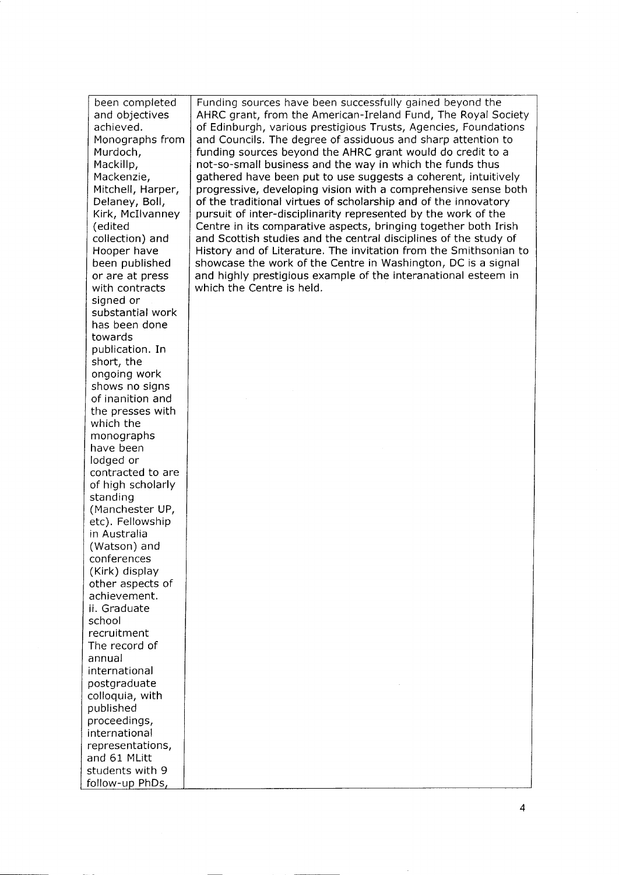been completed and objectives achieved. Monographs from Murdoch, Mackillp, Mackenzie, Mitchell, Harper, Delaney, Boil, Kirk, McIlvanney (edited collection) and Hooper have been published or are at press with contracts signed or substantial work has been done towards publication. In short, the ongoing work shows no signs of inanition and the presses with which the monographs have been lodged or contracted to are of high scholarly standing (Manchester UP, etc). Fellowship in Australia (Watson) and conferences (Kirk) display other aspects of achievement. ii. Graduate school recruitment The record of annual international postgraduate colloquia, with published proceedings, international representations, and 61 Mlitt students with 9 follow-up PhDs

Funding sources have been successfully gained beyond the AHRC grant, from the American-Ireland Fund, The Royal Society of Edinburgh, various prestigious Trusts, Agencies, Foundations and Councils. The degree of assiduous and sharp attention to funding sources beyond the AHRC grant would do credit to a not-so-small business and the way in which the funds thus gathered have been put to use suggests a coherent, intuitively progressive, developing vision with a comprehensive sense both of the traditional virtues of scholarship and of the innovatory pursuit of inter-disciplinarity represented by the work of the Centre in its comparative aspects, bringing together both Irish and Scottish studies and the central disciplines of the study of History and of Literature. The invitation from the Smithsonian to showcase the work of the Centre in Washington, DC is a signal and highly prestigious example of the interanational esteem in which the Centre is held.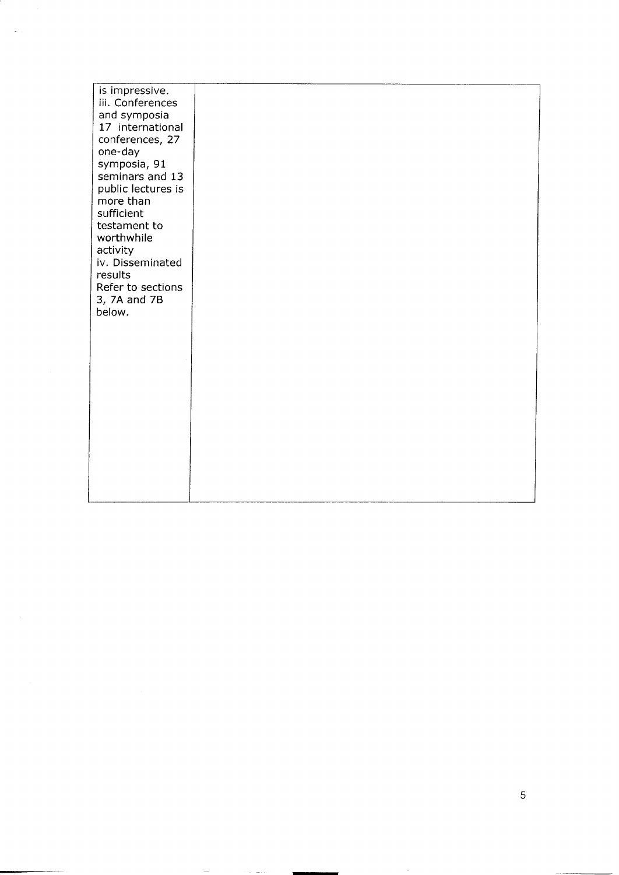| is impressive.<br>iii. Conferences<br>and symposia<br>17 international<br>conferences, 27<br>one-day<br>symposia, 91<br>seminars and 13<br>public lectures is<br>more than<br>sufficient<br>testament to<br>worthwhile<br>activity<br>iv. Disseminated<br>results<br>Refer to sections<br>3, 7A and 7B<br>below. |  |  |  |
|------------------------------------------------------------------------------------------------------------------------------------------------------------------------------------------------------------------------------------------------------------------------------------------------------------------|--|--|--|
|                                                                                                                                                                                                                                                                                                                  |  |  |  |
|                                                                                                                                                                                                                                                                                                                  |  |  |  |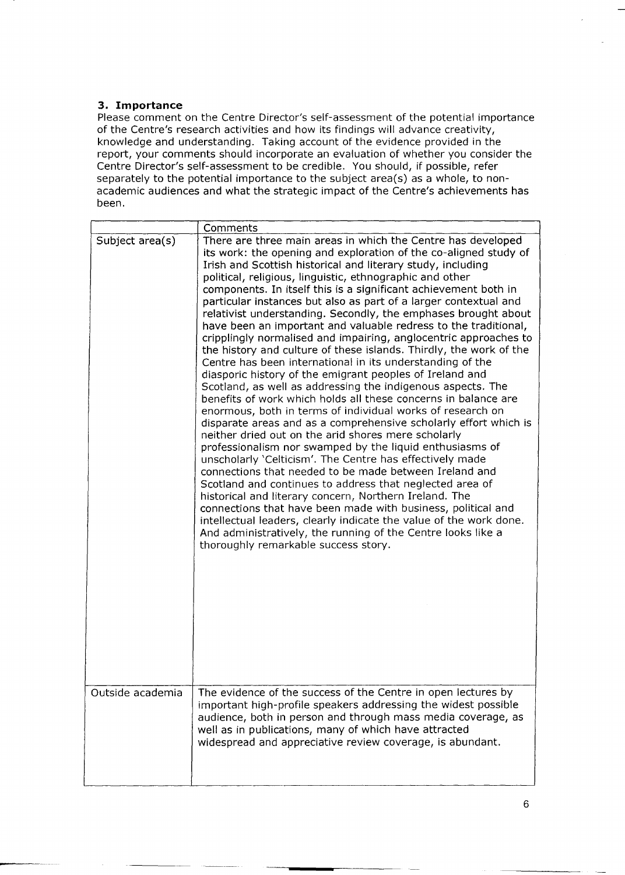## **3. Importance**

Please comment on the Centre Director's self-assessment of the potential importance of the Centre's research activities and how its findings will advance creativity, knowledge and understanding. Taking account of the evidence provided in the report, your comments should incorporate an evaluation of whether you consider the Centre Director's self-assessment to be credible. You should, if possible, refer separately to the potential importance to the subject area(s) as a whole, to nonacademic audiences and what the strategic impact of the Centre's achievements has been.

|                                     | Comments                                                                                                                                                                                                                                                                                                                                                                                                                                                                                                                                                                                                                                                                                                                                                                                                                                                                                                                                                                                                                                                                                                                                                                                                                                                                                                                                                                                                                                                                                                                                                                                                                                                                                                                                                    |
|-------------------------------------|-------------------------------------------------------------------------------------------------------------------------------------------------------------------------------------------------------------------------------------------------------------------------------------------------------------------------------------------------------------------------------------------------------------------------------------------------------------------------------------------------------------------------------------------------------------------------------------------------------------------------------------------------------------------------------------------------------------------------------------------------------------------------------------------------------------------------------------------------------------------------------------------------------------------------------------------------------------------------------------------------------------------------------------------------------------------------------------------------------------------------------------------------------------------------------------------------------------------------------------------------------------------------------------------------------------------------------------------------------------------------------------------------------------------------------------------------------------------------------------------------------------------------------------------------------------------------------------------------------------------------------------------------------------------------------------------------------------------------------------------------------------|
| Subject area(s)<br>Outside academia | There are three main areas in which the Centre has developed<br>its work: the opening and exploration of the co-aligned study of<br>Irish and Scottish historical and literary study, including<br>political, religious, linguistic, ethnographic and other<br>components. In itself this is a significant achievement both in<br>particular instances but also as part of a larger contextual and<br>relativist understanding. Secondly, the emphases brought about<br>have been an important and valuable redress to the traditional,<br>cripplingly normalised and impairing, anglocentric approaches to<br>the history and culture of these islands. Thirdly, the work of the<br>Centre has been international in its understanding of the<br>diasporic history of the emigrant peoples of Ireland and<br>Scotland, as well as addressing the indigenous aspects. The<br>benefits of work which holds all these concerns in balance are<br>enormous, both in terms of individual works of research on<br>disparate areas and as a comprehensive scholarly effort which is<br>neither dried out on the arid shores mere scholarly<br>professionalism nor swamped by the liquid enthusiasms of<br>unscholarly 'Celticism'. The Centre has effectively made<br>connections that needed to be made between Ireland and<br>Scotland and continues to address that neglected area of<br>historical and literary concern, Northern Ireland. The<br>connections that have been made with business, political and<br>intellectual leaders, clearly indicate the value of the work done.<br>And administratively, the running of the Centre looks like a<br>thoroughly remarkable success story.<br>The evidence of the success of the Centre in open lectures by |
|                                     | important high-profile speakers addressing the widest possible<br>audience, both in person and through mass media coverage, as<br>well as in publications, many of which have attracted<br>widespread and appreciative review coverage, is abundant.                                                                                                                                                                                                                                                                                                                                                                                                                                                                                                                                                                                                                                                                                                                                                                                                                                                                                                                                                                                                                                                                                                                                                                                                                                                                                                                                                                                                                                                                                                        |

-~ ~--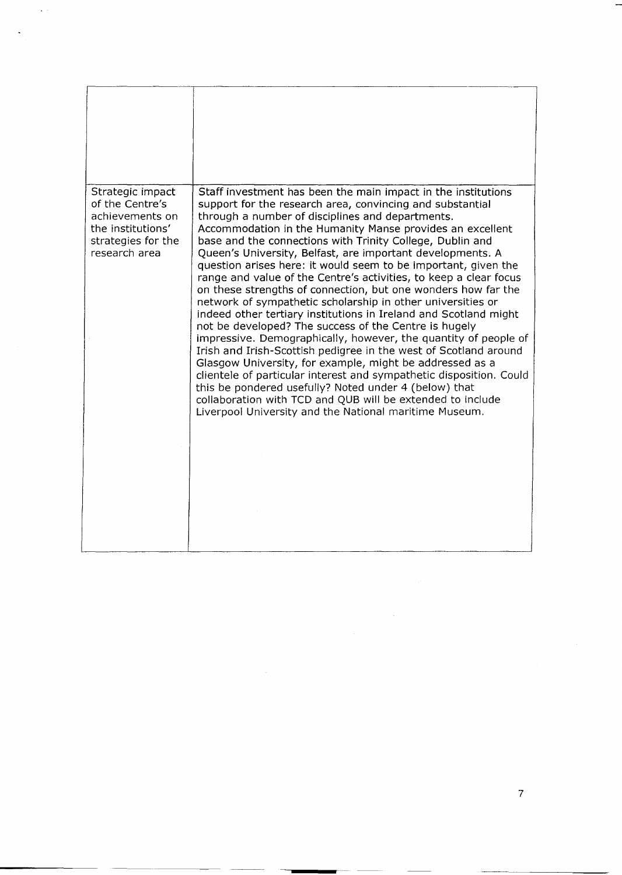| Strategic impact<br>of the Centre's<br>achievements on<br>the institutions'<br>strategies for the<br>research area | Staff investment has been the main impact in the institutions<br>support for the research area, convincing and substantial<br>through a number of disciplines and departments.<br>Accommodation in the Humanity Manse provides an excellent<br>base and the connections with Trinity College, Dublin and<br>Queen's University, Belfast, are important developments. A<br>question arises here: it would seem to be important, given the<br>range and value of the Centre's activities, to keep a clear focus<br>on these strengths of connection, but one wonders how far the<br>network of sympathetic scholarship in other universities or<br>indeed other tertiary institutions in Ireland and Scotland might<br>not be developed? The success of the Centre is hugely<br>impressive. Demographically, however, the quantity of people of<br>Irish and Irish-Scottish pedigree in the west of Scotland around<br>Glasgow University, for example, might be addressed as a<br>clientele of particular interest and sympathetic disposition. Could<br>this be pondered usefully? Noted under 4 (below) that<br>collaboration with TCD and QUB will be extended to include<br>Liverpool University and the National maritime Museum. |
|--------------------------------------------------------------------------------------------------------------------|---------------------------------------------------------------------------------------------------------------------------------------------------------------------------------------------------------------------------------------------------------------------------------------------------------------------------------------------------------------------------------------------------------------------------------------------------------------------------------------------------------------------------------------------------------------------------------------------------------------------------------------------------------------------------------------------------------------------------------------------------------------------------------------------------------------------------------------------------------------------------------------------------------------------------------------------------------------------------------------------------------------------------------------------------------------------------------------------------------------------------------------------------------------------------------------------------------------------------------------|

 $\frac{1}{2} \frac{1}{2} \frac{1}{2} \frac{1}{2}$ 

 $\mathcal{L}(\mathcal{E})$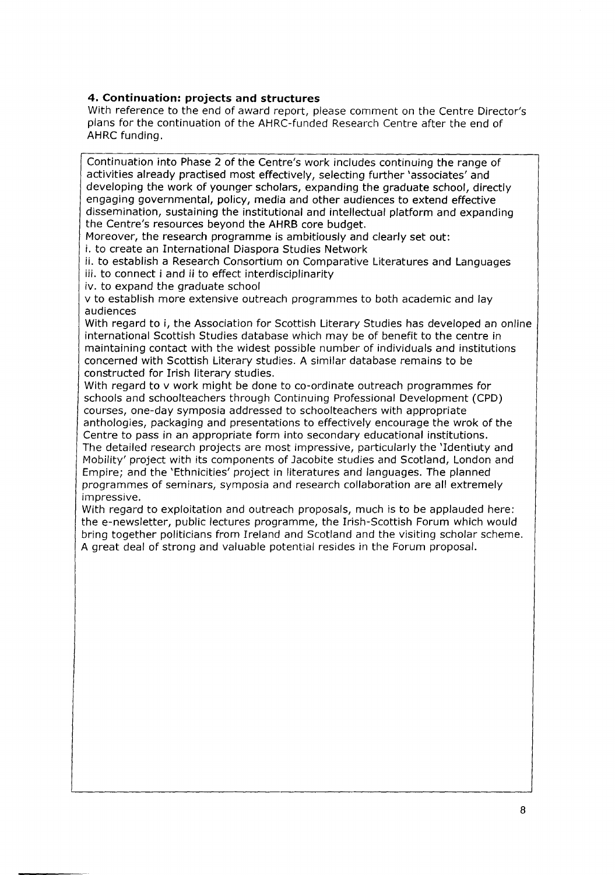### **4. Continuation: projects and structures**

With reference to the end of award report, please comment on the Centre Director's plans for the continuation of the AHRC-funded Research Centre after the end of AHRC funding.

Continuation into Phase 2 of the Centre's work includes continuing the range of activities already practised most effectively, selecting further 'associates' and developing the work of younger scholars, expanding the graduate school, directly engaging governmental, policy, media and other audiences to extend effective dissemination, sustaining the institutional and intellectual platform and expanding the Centre's resources beyond the AHRB core budget.

Moreover, the research programme is ambitiously and clearly set out:

i. to create an International Diaspora Studies Network

ii. to establish a Research Consortium on Comparative Literatures and Languages iii. to connect i and ii to effect interdisciplinarity

iv. to expand the graduate school

v to establish more extensive outreach programmes to both academic and lay audiences

With regard to i, the Association for Scottish Literary Studies has developed an online international Scottish Studies database which may be of benefit to the centre in maintaining contact with the widest possible number of individuals and institutions concerned with Scottish Literary studies. A similar database remains to be constructed for Irish literary studies.

With regard to y work might be done to co-ordinate outreach programmes for schools and schoolteachers through Continuing Professional Development (CPD) courses, one-day symposia addressed to schoolteachers with appropriate anthologies, packaging and presentations to effectively encourage the wrok of the Centre to pass in an appropriate form into secondary educational institutions. The detailed research projects are most impressive, particularly the 'Identiuty and Mobility' project with its components of Jacobite studies and Scotland, London and Empire; and the 'Ethnicities' project in literatures and languages. The planned programmes of seminars, symposia and research collaboration are all extremely impressive.

With regard to exploitation and outreach proposals, much is to be applauded here: the e-newsletter, public lectures programme, the Irish-Scottish Forum which would bring together politicians from Ireland and Scotland and the visiting scholar scheme. A great deal of strong and valuable potential resides in the Forum proposal.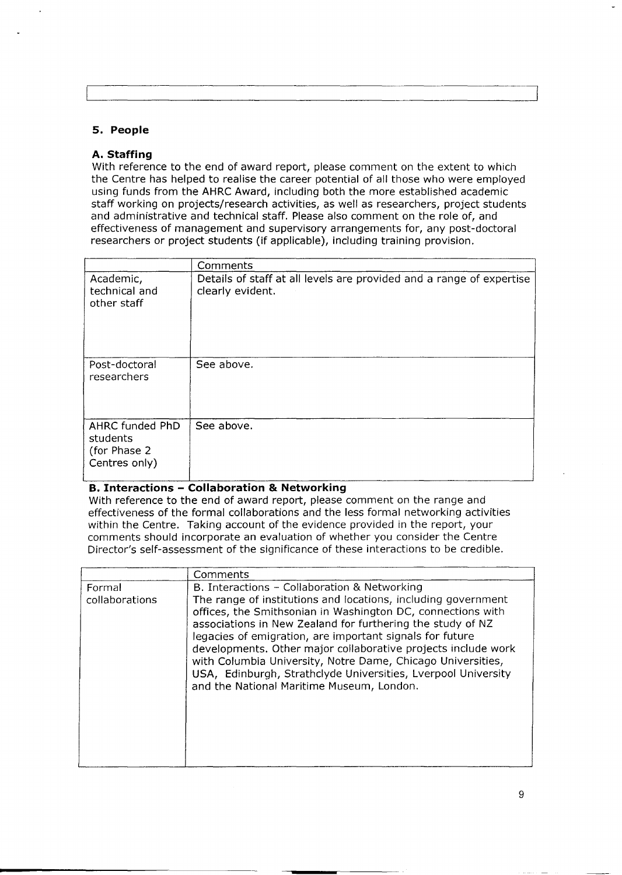| 5. | People |  |
|----|--------|--|
|----|--------|--|

#### **A. Staffing**

With reference to the end of award report, please comment on the extent to which the Centre has helped to realise the career potential of all those who were employed using funds from the AHRC Award, including both the more established academic staff working on projects/research activities, as well as researchers, project students and administrative and technical staff. Please also comment on the role of, and effectiveness of management and supervisory arrangements for, any post-doctoral researchers or project students (if applicable), including training provision.

|                                                               | Comments                                                                                 |
|---------------------------------------------------------------|------------------------------------------------------------------------------------------|
| Academic,<br>technical and<br>other staff                     | Details of staff at all levels are provided and a range of expertise<br>clearly evident. |
| Post-doctoral<br>researchers                                  | See above.                                                                               |
| AHRC funded PhD<br>students<br>(for Phase 2)<br>Centres only) | See above.                                                                               |

## **B. Interactions - Collaboration & Networking**

With reference to the end of award report, please comment on the range and effectiveness of the formal collaborations and the less formal networking activities within the Centre. Taking account of the evidence provided in the report, your comments should incorporate an evaluation of whether you consider the Centre Director's self-assessment of the significance of these interactions to be credible.

|                          | Comments                                                                                                                                                                                                                                                                                                                                                                                                                                                                                                                                             |
|--------------------------|------------------------------------------------------------------------------------------------------------------------------------------------------------------------------------------------------------------------------------------------------------------------------------------------------------------------------------------------------------------------------------------------------------------------------------------------------------------------------------------------------------------------------------------------------|
| Formal<br>collaborations | B. Interactions – Collaboration & Networking<br>The range of institutions and locations, including government<br>offices, the Smithsonian in Washington DC, connections with<br>associations in New Zealand for furthering the study of NZ<br>legacies of emigration, are important signals for future<br>developments. Other major collaborative projects include work<br>with Columbia University, Notre Dame, Chicago Universities,<br>USA, Edinburgh, Strathclyde Universities, Lverpool University<br>and the National Maritime Museum, London. |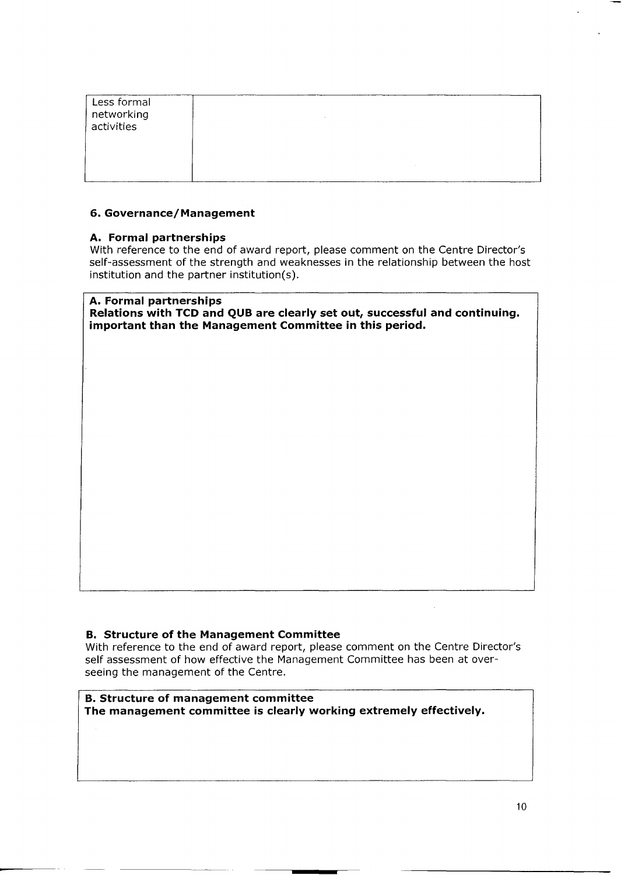| Less formal<br>networking<br>activities |  |
|-----------------------------------------|--|
|                                         |  |

#### **6. Governance/Management**

#### **A. Formal partnerships**

With reference to the end of award report, please comment on the Centre Director's self-assessment of the strength and weaknesses in the relationship between the host institution and the partner institution(s).

# **A. Formal partnerships**

**Relations with TCD and QUB are clearly set out, successful and continuing. important than the Management Committee in this period.**

#### **B. Structure of the Management Committee**

With reference to the end of award report, please comment on the Centre Director's self assessment of how effective the Management Committee has been at overseeing the management of the Centre.

**B. Structure of management committee The management committee is clearly working extremely effectively.**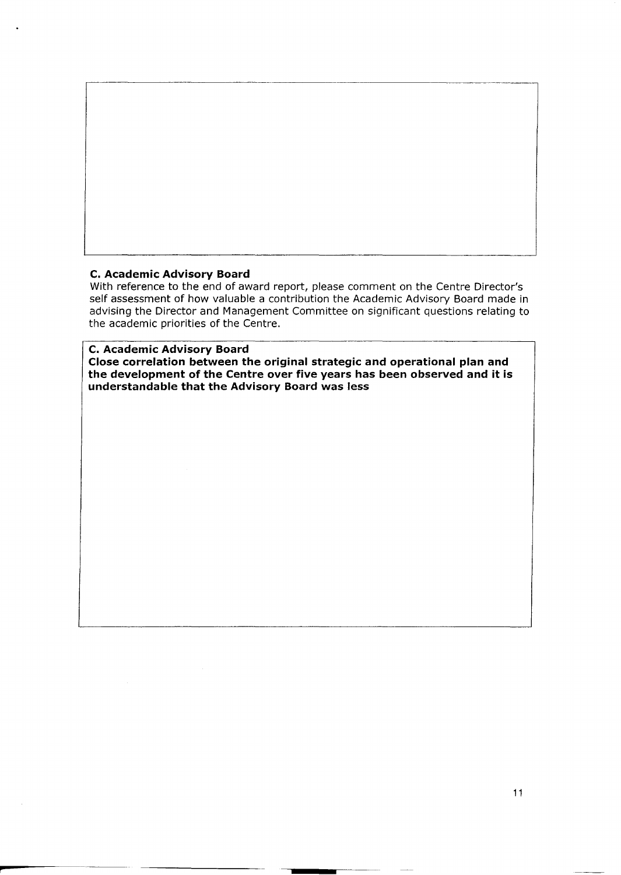

#### **C. Academic Advisory Board**

r

With reference to the end of award report, please comment on the Centre Director's self assessment of how valuable a contribution the Academic Advisory Board made in advising the Director and Management Committee on significant questions relating to the academic priorities of the Centre.

#### **C. Academic Advisory Board Close correlation between the original strategic and operational plan and the development of the Centre over five years has been observed and it is understandable that the Advisory Board was less**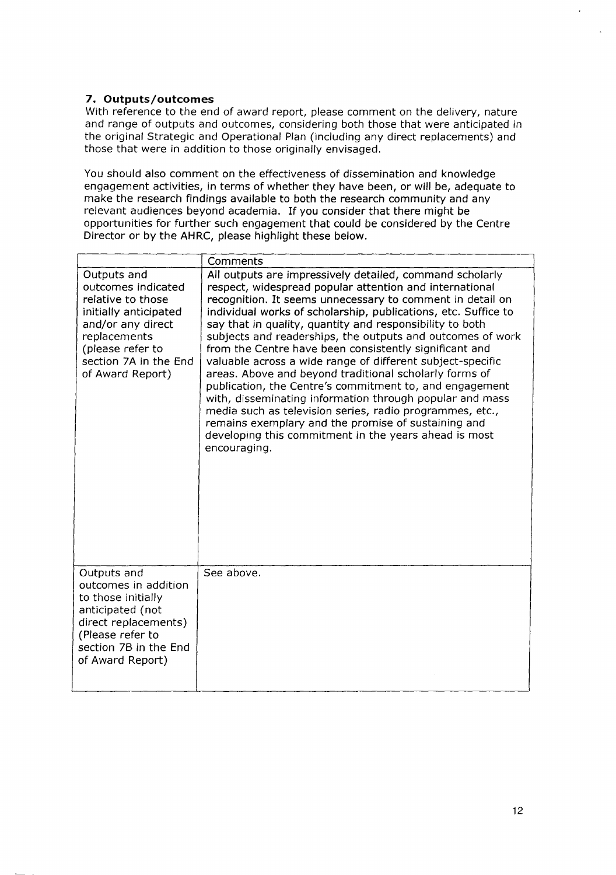# **7. Outputs/outcomes**

With reference to the end of award report, please comment on the delivery, nature and range of outputs and outcomes, considering both those that were anticipated in the original Strategic and Operational Plan (including any direct replacements) and those that were in addition to those originally envisaged.

You should also comment on the effectiveness of dissemination and knowledge engagement activities, in terms of whether they have been, or will be, adequate to make the research findings available to both the research community and any relevant audiences beyond academia. If you consider that there might be opportunities for further such engagement that could be considered by the Centre Director or by the AHRC, please highlight these below.

|                                                                                                                                                                                       | Comments                                                                                                                                                                                                                                                                                                                                                                                                                                                                                                                                                                                                                                                                                                                                                                                                                                                                          |
|---------------------------------------------------------------------------------------------------------------------------------------------------------------------------------------|-----------------------------------------------------------------------------------------------------------------------------------------------------------------------------------------------------------------------------------------------------------------------------------------------------------------------------------------------------------------------------------------------------------------------------------------------------------------------------------------------------------------------------------------------------------------------------------------------------------------------------------------------------------------------------------------------------------------------------------------------------------------------------------------------------------------------------------------------------------------------------------|
| Outputs and<br>outcomes indicated<br>relative to those<br>initially anticipated<br>and/or any direct<br>replacements<br>(please refer to<br>section 7A in the End<br>of Award Report) | All outputs are impressively detailed, command scholarly<br>respect, widespread popular attention and international<br>recognition. It seems unnecessary to comment in detail on<br>individual works of scholarship, publications, etc. Suffice to<br>say that in quality, quantity and responsibility to both<br>subjects and readerships, the outputs and outcomes of work<br>from the Centre have been consistently significant and<br>valuable across a wide range of different subject-specific<br>areas. Above and beyond traditional scholarly forms of<br>publication, the Centre's commitment to, and engagement<br>with, disseminating information through popular and mass<br>media such as television series, radio programmes, etc.,<br>remains exemplary and the promise of sustaining and<br>developing this commitment in the years ahead is most<br>encouraging. |
| Outputs and<br>outcomes in addition<br>to those initially<br>anticipated (not<br>direct replacements)<br>(Please refer to<br>section 7B in the End<br>of Award Report)                | See above.                                                                                                                                                                                                                                                                                                                                                                                                                                                                                                                                                                                                                                                                                                                                                                                                                                                                        |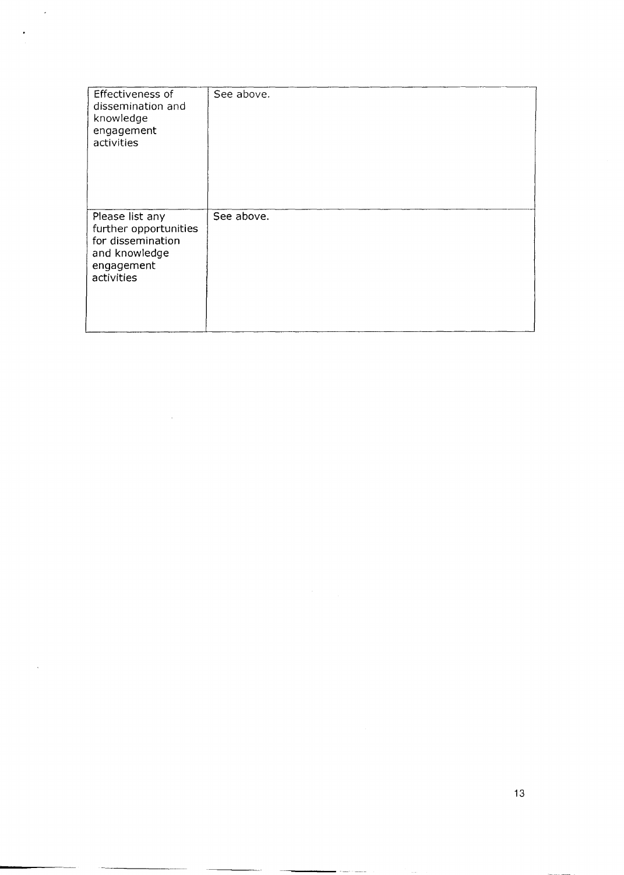| Effectiveness of<br>dissemination and<br>knowledge<br>engagement<br>activities                             | See above. |
|------------------------------------------------------------------------------------------------------------|------------|
| Please list any<br>further opportunities<br>for dissemination<br>and knowledge<br>engagement<br>activities | See above. |

Ġ,

 $\bar{\mathcal{A}}$ 

 $\ddot{\phantom{a}}$ 

.